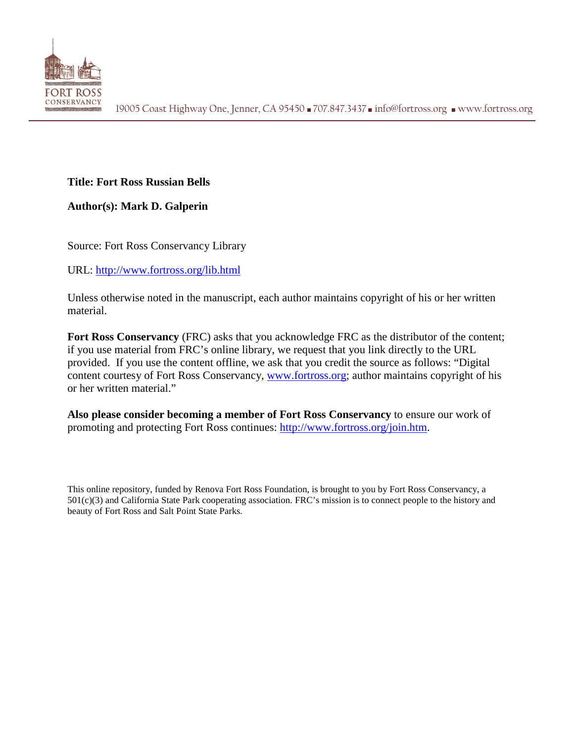

## **Title: Fort Ross Russian Bells**

**Author(s): Mark D. Galperin**

Source: Fort Ross Conservancy Library

URL:<http://www.fortross.org/lib.html>

Unless otherwise noted in the manuscript, each author maintains copyright of his or her written material.

**Fort Ross Conservancy** (FRC) asks that you acknowledge FRC as the distributor of the content; if you use material from FRC's online library, we request that you link directly to the URL provided. If you use the content offline, we ask that you credit the source as follows: "Digital content courtesy of Fort Ross Conservancy, [www.fortross.org;](http://www.fortross.org/) author maintains copyright of his or her written material."

**Also please consider becoming a member of Fort Ross Conservancy** to ensure our work of promoting and protecting Fort Ross continues: [http://www.fortross.org/join.htm.](http://www.fortross.org/join.htm)

This online repository, funded by Renova Fort Ross Foundation, is brought to you by Fort Ross Conservancy, a 501(c)(3) and California State Park cooperating association. FRC's mission is to connect people to the history and beauty of Fort Ross and Salt Point State Parks.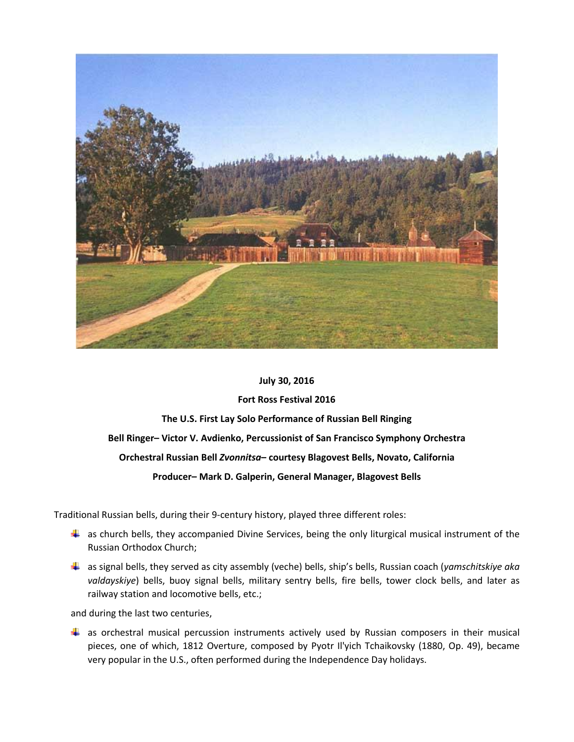

## **July 30, 2016**

## **Fort Ross Festival 2016**

**The U.S. First Lay Solo Performance of Russian Bell Ringing Bell Ringer– Victor V. Avdienko, Percussionist of San Francisco Symphony Orchestra Orchestral Russian Bell** *Zvonnitsa***– courtesy Blagovest Bells, Novato, California Producer– Mark D. Galperin, General Manager, Blagovest Bells**

Traditional Russian bells, during their 9-century history, played three different roles:

- $\ddot{\phantom{1}}$  as church bells, they accompanied Divine Services, being the only liturgical musical instrument of the Russian Orthodox Church;
- as signal bells, they served as city assembly (veche) bells, ship's bells, Russian coach (*yamschitskiye aka valdayskiye*) bells, buoy signal bells, military sentry bells, fire bells, tower clock bells, and later as railway station and locomotive bells, etc.;

and during the last two centuries,

as orchestral musical percussion instruments actively used by Russian composers in their musical pieces, one of which, 1812 Overture, composed by Pyotr Il'yich Tchaikovsky (1880, Op. 49), became very popular in the U.S., often performed during the Independence Day holidays.